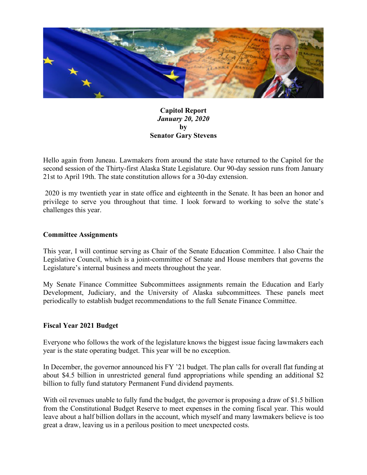

# **Capitol Report** *January 20, 2020* **by Senator Gary Stevens**

Hello again from Juneau. Lawmakers from around the state have returned to the Capitol for the second session of the Thirty-first Alaska State Legislature. Our 90-day session runs from January 21st to April 19th. The state constitution allows for a 30-day extension.

2020 is my twentieth year in state office and eighteenth in the Senate. It has been an honor and privilege to serve you throughout that time. I look forward to working to solve the state's challenges this year.

#### **Committee Assignments**

This year, I will continue serving as Chair of the Senate Education Committee. I also Chair the Legislative Council, which is a joint-committee of Senate and House members that governs the Legislature's internal business and meets throughout the year.

My Senate Finance Committee Subcommittees assignments remain the Education and Early Development, Judiciary, and the University of Alaska subcommittees. These panels meet periodically to establish budget recommendations to the full Senate Finance Committee.

#### **Fiscal Year 2021 Budget**

Everyone who follows the work of the legislature knows the biggest issue facing lawmakers each year is the state operating budget. This year will be no exception.

In December, the governor announced his FY '21 budget. The plan calls for overall flat funding at about \$4.5 billion in unrestricted general fund appropriations while spending an additional \$2 billion to fully fund statutory Permanent Fund dividend payments.

With oil revenues unable to fully fund the budget, the governor is proposing a draw of \$1.5 billion from the Constitutional Budget Reserve to meet expenses in the coming fiscal year. This would leave about a half billion dollars in the account, which myself and many lawmakers believe is too great a draw, leaving us in a perilous position to meet unexpected costs.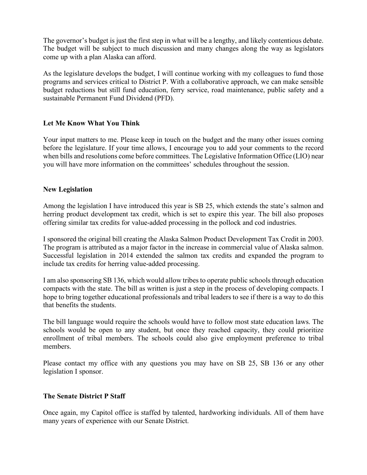The governor's budget is just the first step in what will be a lengthy, and likely contentious debate. The budget will be subject to much discussion and many changes along the way as legislators come up with a plan Alaska can afford.

As the legislature develops the budget, I will continue working with my colleagues to fund those programs and services critical to District P. With a collaborative approach, we can make sensible budget reductions but still fund education, ferry service, road maintenance, public safety and a sustainable Permanent Fund Dividend (PFD).

### **Let Me Know What You Think**

Your input matters to me. Please keep in touch on the budget and the many other issues coming before the legislature. If your time allows, I encourage you to add your comments to the record when bills and resolutions come before committees. The Legislative Information Office (LIO) near you will have more information on the committees' schedules throughout the session.

### **New Legislation**

Among the legislation I have introduced this year is SB 25, which extends the state's salmon and herring product development tax credit, which is set to expire this year. The bill also proposes offering similar tax credits for value-added processing in the pollock and cod industries.

I sponsored the original bill creating the Alaska Salmon Product Development Tax Credit in 2003. The program is attributed as a major factor in the increase in commercial value of Alaska salmon. Successful legislation in 2014 extended the salmon tax credits and expanded the program to include tax credits for herring value-added processing.

I am also sponsoring SB 136, which would allow tribes to operate public schools through education compacts with the state. The bill as written is just a step in the process of developing compacts. I hope to bring together educational professionals and tribal leaders to see if there is a way to do this that benefits the students.

The bill language would require the schools would have to follow most state education laws. The schools would be open to any student, but once they reached capacity, they could prioritize enrollment of tribal members. The schools could also give employment preference to tribal members.

Please contact my office with any questions you may have on SB 25, SB 136 or any other legislation I sponsor.

#### **The Senate District P Staff**

Once again, my Capitol office is staffed by talented, hardworking individuals. All of them have many years of experience with our Senate District.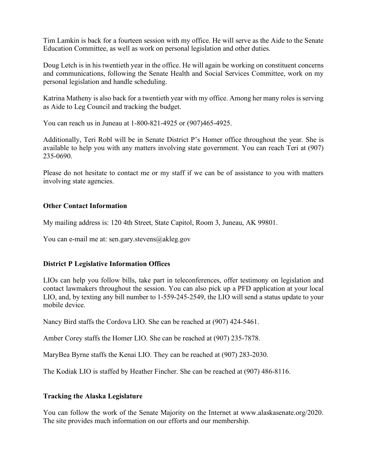Tim Lamkin is back for a fourteen session with my office. He will serve as the Aide to the Senate Education Committee, as well as work on personal legislation and other duties.

Doug Letch is in his twentieth year in the office. He will again be working on constituent concerns and communications, following the Senate Health and Social Services Committee, work on my personal legislation and handle scheduling.

Katrina Matheny is also back for a twentieth year with my office. Among her many roles is serving as Aide to Leg Council and tracking the budget.

You can reach us in Juneau at 1-800-821-4925 or (907)465-4925.

Additionally, Teri Robl will be in Senate District P's Homer office throughout the year. She is available to help you with any matters involving state government. You can reach Teri at (907) 235-0690.

Please do not hesitate to contact me or my staff if we can be of assistance to you with matters involving state agencies.

### **Other Contact Information**

My mailing address is: 120 4th Street, State Capitol, Room 3, Juneau, AK 99801.

You can e-mail me at: sen.gary.stevens@akleg.gov

## **District P Legislative Information Offices**

LIOs can help you follow bills, take part in teleconferences, offer testimony on legislation and contact lawmakers throughout the session. You can also pick up a PFD application at your local LIO, and, by texting any bill number to 1-559-245-2549, the LIO will send a status update to your mobile device.

Nancy Bird staffs the Cordova LIO. She can be reached at (907) 424-5461.

Amber Corey staffs the Homer LIO. She can be reached at (907) 235-7878.

MaryBea Byrne staffs the Kenai LIO. They can be reached at (907) 283-2030.

The Kodiak LIO is staffed by Heather Fincher. She can be reached at (907) 486-8116.

#### **Tracking the Alaska Legislature**

You can follow the work of the Senate Majority on the Internet at www.alaskasenate.org/2020. The site provides much information on our efforts and our membership.